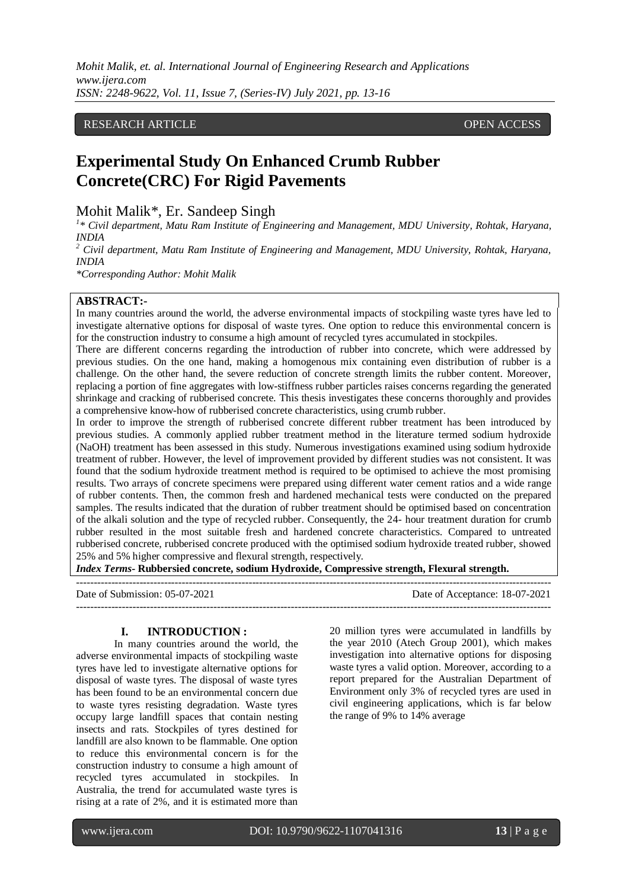*Mohit Malik, et. al. International Journal of Engineering Research and Applications www.ijera.com ISSN: 2248-9622, Vol. 11, Issue 7, (Series-IV) July 2021, pp. 13-16*

# RESEARCH ARTICLE **CONTRACT ARTICLE**

# **Experimental Study On Enhanced Crumb Rubber Concrete(CRC) For Rigid Pavements**

Mohit Malik\*, Er. Sandeep Singh

<sup>1</sup>\* Civil department, Matu Ram Institute of Engineering and Management, MDU University, Rohtak, Haryana, *INDIA*

*<sup>2</sup> Civil department, Matu Ram Institute of Engineering and Management, MDU University, Rohtak, Haryana, INDIA*

*\*Corresponding Author: Mohit Malik*

### **ABSTRACT:-**

In many countries around the world, the adverse environmental impacts of stockpiling waste tyres have led to investigate alternative options for disposal of waste tyres. One option to reduce this environmental concern is for the construction industry to consume a high amount of recycled tyres accumulated in stockpiles.

There are different concerns regarding the introduction of rubber into concrete, which were addressed by previous studies. On the one hand, making a homogenous mix containing even distribution of rubber is a challenge. On the other hand, the severe reduction of concrete strength limits the rubber content. Moreover, replacing a portion of fine aggregates with low-stiffness rubber particles raises concerns regarding the generated shrinkage and cracking of rubberised concrete. This thesis investigates these concerns thoroughly and provides a comprehensive know-how of rubberised concrete characteristics, using crumb rubber.

In order to improve the strength of rubberised concrete different rubber treatment has been introduced by previous studies. A commonly applied rubber treatment method in the literature termed sodium hydroxide (NaOH) treatment has been assessed in this study. Numerous investigations examined using sodium hydroxide treatment of rubber. However, the level of improvement provided by different studies was not consistent. It was found that the sodium hydroxide treatment method is required to be optimised to achieve the most promising results. Two arrays of concrete specimens were prepared using different water cement ratios and a wide range of rubber contents. Then, the common fresh and hardened mechanical tests were conducted on the prepared samples. The results indicated that the duration of rubber treatment should be optimised based on concentration of the alkali solution and the type of recycled rubber. Consequently, the 24- hour treatment duration for crumb rubber resulted in the most suitable fresh and hardened concrete characteristics. Compared to untreated rubberised concrete, rubberised concrete produced with the optimised sodium hydroxide treated rubber, showed 25% and 5% higher compressive and flexural strength, respectively.

*Index Terms***- Rubbersied concrete, sodium Hydroxide, Compressive strength, Flexural strength.**

--------------------------------------------------------------------------------------------------------------------------------------- Date of Submission: 05-07-2021 Date of Acceptance: 18-07-2021  $-1\leq i\leq n-1$ 

#### **I. INTRODUCTION :**

In many countries around the world, the adverse environmental impacts of stockpiling waste tyres have led to investigate alternative options for disposal of waste tyres. The disposal of waste tyres has been found to be an environmental concern due to waste tyres resisting degradation. Waste tyres occupy large landfill spaces that contain nesting insects and rats. Stockpiles of tyres destined for landfill are also known to be flammable. One option to reduce this environmental concern is for the construction industry to consume a high amount of recycled tyres accumulated in stockpiles. In Australia, the trend for accumulated waste tyres is rising at a rate of 2%, and it is estimated more than

20 million tyres were accumulated in landfills by the year 2010 (Atech Group 2001), which makes investigation into alternative options for disposing waste tyres a valid option. Moreover, according to a report prepared for the Australian Department of Environment only 3% of recycled tyres are used in civil engineering applications, which is far below the range of 9% to 14% average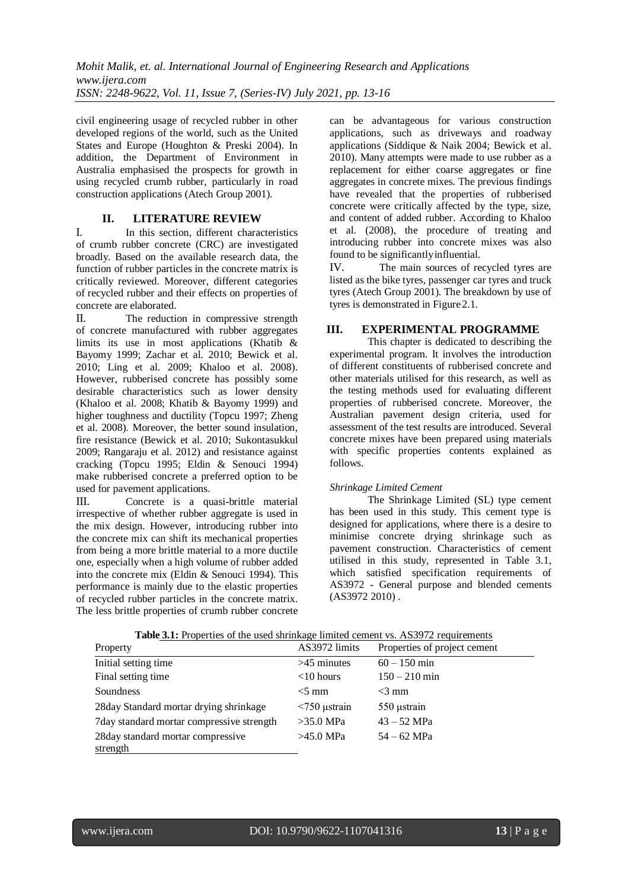civil engineering usage of recycled rubber in other developed regions of the world, such as the United States and Europe (Houghton & Preski 2004). In addition, the Department of Environment in Australia emphasised the prospects for growth in using recycled crumb rubber, particularly in road construction applications (Atech Group 2001).

# **II. LITERATURE REVIEW**

I. In this section, different characteristics of crumb rubber concrete (CRC) are investigated broadly. Based on the available research data, the function of rubber particles in the concrete matrix is critically reviewed. Moreover, different categories of recycled rubber and their effects on properties of concrete are elaborated.

II. The reduction in compressive strength of concrete manufactured with rubber aggregates limits its use in most applications (Khatib  $\&$ Bayomy 1999; Zachar et al. 2010; Bewick et al. 2010; Ling et al. 2009; Khaloo et al. 2008). However, rubberised concrete has possibly some desirable characteristics such as lower density (Khaloo et al. 2008; Khatib & Bayomy 1999) and higher toughness and ductility (Topcu 1997; Zheng et al. 2008). Moreover, the better sound insulation, fire resistance (Bewick et al. 2010; Sukontasukkul 2009; Rangaraju et al. 2012) and resistance against cracking (Topcu 1995; Eldin & Senouci 1994) make rubberised concrete a preferred option to be used for pavement applications.

III. Concrete is a quasi-brittle material irrespective of whether rubber aggregate is used in the mix design. However, introducing rubber into the concrete mix can shift its mechanical properties from being a more brittle material to a more ductile one, especially when a high volume of rubber added into the concrete mix (Eldin & Senouci 1994). This performance is mainly due to the elastic properties of recycled rubber particles in the concrete matrix. The less brittle properties of crumb rubber concrete

can be advantageous for various construction applications, such as driveways and roadway applications (Siddique & Naik 2004; Bewick et al. 2010). Many attempts were made to use rubber as a replacement for either coarse aggregates or fine aggregates in concrete mixes. The previous findings have revealed that the properties of rubberised concrete were critically affected by the type, size, and content of added rubber. According to Khaloo et al. (2008), the procedure of treating and introducing rubber into concrete mixes was also found to be significantlyinfluential.

IV. The main sources of recycled tyres are listed as the bike tyres, passenger car tyres and truck tyres (Atech Group 2001). The breakdown by use of tyres is demonstrated in Figure2.1.

# **III. EXPERIMENTAL PROGRAMME**

This chapter is dedicated to describing the experimental program. It involves the introduction of different constituents of rubberised concrete and other materials utilised for this research, as well as the testing methods used for evaluating different properties of rubberised concrete. Moreover, the Australian pavement design criteria, used for assessment of the test results are introduced. Several concrete mixes have been prepared using materials with specific properties contents explained as follows.

# *Shrinkage Limited Cement*

The Shrinkage Limited (SL) type cement has been used in this study. This cement type is designed for applications, where there is a desire to minimise concrete drying shrinkage such as pavement construction. Characteristics of cement utilised in this study, represented in Table 3.1, which satisfied specification requirements of AS3972 - General purpose and blended cements  $(AS3972, 2010)$ .

| <b>THOIC OFFICIAL</b> THOUGH THE USE OF SHELLING CONTINUES TO THE TOGGILL THROUGH THE TEST OF THE THROUGH THROUGH THE T<br>Property | AS3972 limits      | Properties of project cement |
|-------------------------------------------------------------------------------------------------------------------------------------|--------------------|------------------------------|
| Initial setting time.                                                                                                               | $>45$ minutes      | $60 - 150$ min               |
| Final setting time                                                                                                                  | $<$ 10 hours       | $150 - 210$ min              |
| Soundness                                                                                                                           | $<$ 5 mm           | $<$ 3 mm                     |
| 28 day Standard mortar drying shrinkage                                                                                             | $\leq$ 750 µstrain | 550 ustrain                  |
| 7 day standard mortar compressive strength                                                                                          | $>35.0$ MPa        | $43 - 52$ MPa                |
| 28 day standard mortar compressive                                                                                                  | $>45.0$ MPa        | $54 - 62$ MPa                |
| strength                                                                                                                            |                    |                              |

|  | <b>Table 3.1:</b> Properties of the used shrinkage limited cement vs. AS3972 requirements |
|--|-------------------------------------------------------------------------------------------|
|  |                                                                                           |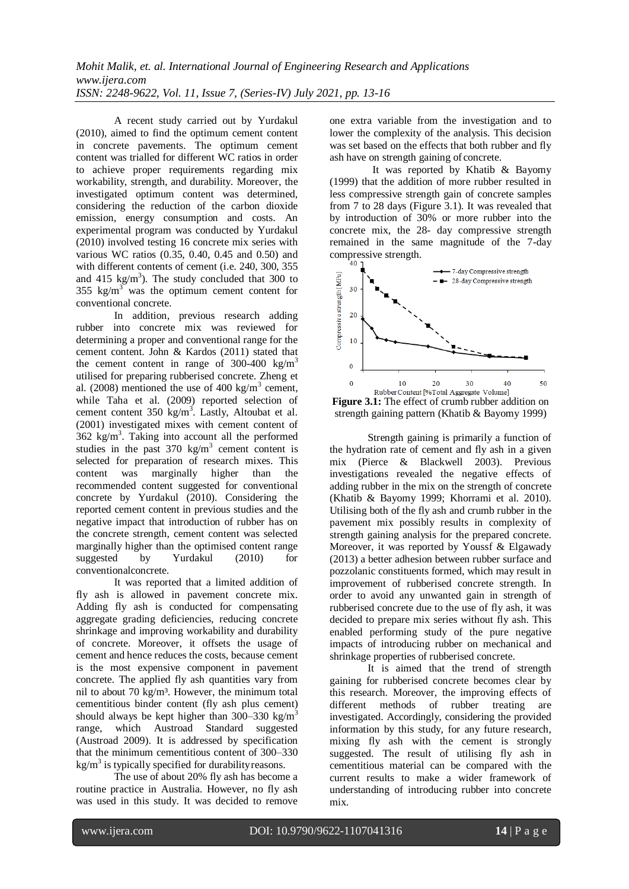A recent study carried out by Yurdakul (2010), aimed to find the optimum cement content in concrete pavements. The optimum cement content was trialled for different WC ratios in order to achieve proper requirements regarding mix workability, strength, and durability. Moreover, the investigated optimum content was determined, considering the reduction of the carbon dioxide emission, energy consumption and costs. An experimental program was conducted by Yurdakul (2010) involved testing 16 concrete mix series with various WC ratios (0.35, 0.40, 0.45 and 0.50) and with different contents of cement (i.e. 240, 300, 355 and  $415 \text{ kg/m}^3$ ). The study concluded that 300 to 355  $\text{kg/m}^3$  was the optimum cement content for conventional concrete.

In addition, previous research adding rubber into concrete mix was reviewed for determining a proper and conventional range for the cement content. John & Kardos (2011) stated that the cement content in range of 300-400 kg/m<sup>3</sup> utilised for preparing rubberised concrete. Zheng et al. (2008) mentioned the use of 400 kg/m<sup>3</sup> cement, while Taha et al. (2009) reported selection of cement content  $350 \text{ kg/m}^3$ . Lastly, Altoubat et al. (2001) investigated mixes with cement content of  $362$  kg/m<sup>3</sup>. Taking into account all the performed studies in the past  $370 \text{ kg/m}^3$  cement content is selected for preparation of research mixes. This content was marginally higher than the recommended content suggested for conventional concrete by Yurdakul (2010). Considering the reported cement content in previous studies and the negative impact that introduction of rubber has on the concrete strength, cement content was selected marginally higher than the optimised content range suggested by Yurdakul (2010) for conventionalconcrete.

It was reported that a limited addition of fly ash is allowed in pavement concrete mix. Adding fly ash is conducted for compensating aggregate grading deficiencies, reducing concrete shrinkage and improving workability and durability of concrete. Moreover, it offsets the usage of cement and hence reduces the costs, because cement is the most expensive component in pavement concrete. The applied fly ash quantities vary from nil to about 70 kg/m³. However, the minimum total cementitious binder content (fly ash plus cement) should always be kept higher than 300–330 kg/m<sup>3</sup> range, which Austroad Standard suggested (Austroad 2009). It is addressed by specification that the minimum cementitious content of 300–330  $kg/m<sup>3</sup>$  is typically specified for durability reasons.

The use of about 20% fly ash has become a routine practice in Australia. However, no fly ash was used in this study. It was decided to remove

one extra variable from the investigation and to lower the complexity of the analysis. This decision was set based on the effects that both rubber and fly ash have on strength gaining of concrete.

It was reported by Khatib & Bayomy (1999) that the addition of more rubber resulted in less compressive strength gain of concrete samples from 7 to 28 days (Figure 3.1). It was revealed that by introduction of 30% or more rubber into the concrete mix, the 28- day compressive strength remained in the same magnitude of the 7-day compressive strength.



Figure 3.1: The effect of crumb rubber addition on strength gaining pattern (Khatib & Bayomy 1999)

Strength gaining is primarily a function of the hydration rate of cement and fly ash in a given mix (Pierce & Blackwell 2003). Previous investigations revealed the negative effects of adding rubber in the mix on the strength of concrete (Khatib & Bayomy 1999; Khorrami et al. 2010). Utilising both of the fly ash and crumb rubber in the pavement mix possibly results in complexity of strength gaining analysis for the prepared concrete. Moreover, it was reported by Youssf & Elgawady (2013) a better adhesion between rubber surface and pozzolanic constituents formed, which may result in improvement of rubberised concrete strength. In order to avoid any unwanted gain in strength of rubberised concrete due to the use of fly ash, it was decided to prepare mix series without fly ash. This enabled performing study of the pure negative impacts of introducing rubber on mechanical and shrinkage properties of rubberised concrete.

It is aimed that the trend of strength gaining for rubberised concrete becomes clear by this research. Moreover, the improving effects of different methods of rubber treating are investigated. Accordingly, considering the provided information by this study, for any future research, mixing fly ash with the cement is strongly suggested. The result of utilising fly ash in cementitious material can be compared with the current results to make a wider framework of understanding of introducing rubber into concrete mix.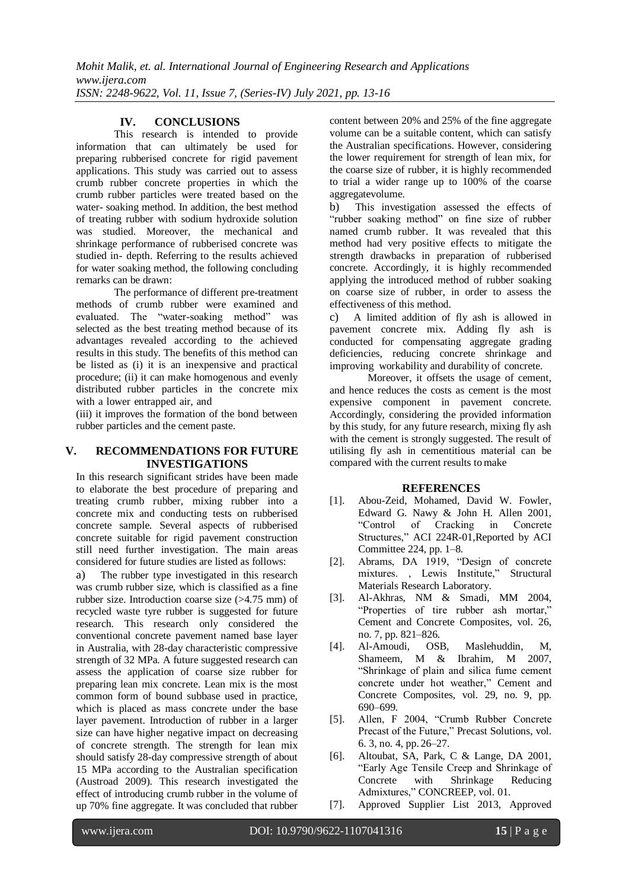# **IV. CONCLUSIONS**

This research is intended to provide information that can ultimately be used for preparing rubberised concrete for rigid pavement applications. This study was carried out to assess crumb rubber concrete properties in which the crumb rubber particles were treated based on the water- soaking method. In addition, the best method of treating rubber with sodium hydroxide solution was studied. Moreover, the mechanical and shrinkage performance of rubberised concrete was studied in- depth. Referring to the results achieved for water soaking method, the following concluding remarks can be drawn:

The performance of different pre-treatment methods of crumb rubber were examined and evaluated. The "water-soaking method" was selected as the best treating method because of its advantages revealed according to the achieved results in this study. The benefits of this method can be listed as (i) it is an inexpensive and practical procedure; (ii) it can make homogenous and evenly distributed rubber particles in the concrete mix with a lower entrapped air, and

(iii) it improves the formation of the bond between rubber particles and the cement paste.

## **V. RECOMMENDATIONS FOR FUTURE INVESTIGATIONS**

In this research significant strides have been made to elaborate the best procedure of preparing and treating crumb rubber, mixing rubber into a concrete mix and conducting tests on rubberised concrete sample. Several aspects of rubberised concrete suitable for rigid pavement construction still need further investigation. The main areas considered for future studies are listed as follows:

a) The rubber type investigated in this research was crumb rubber size, which is classified as a fine rubber size. Introduction coarse size (>4.75 mm) of recycled waste tyre rubber is suggested for future research. This research only considered the conventional concrete pavement named base layer in Australia, with 28-day characteristic compressive strength of 32 MPa. A future suggested research can assess the application of coarse size rubber for preparing lean mix concrete. Lean mix is the most common form of bound subbase used in practice, which is placed as mass concrete under the base layer pavement. Introduction of rubber in a larger size can have higher negative impact on decreasing of concrete strength. The strength for lean mix should satisfy 28-day compressive strength of about 15 MPa according to the Australian specification (Austroad 2009). This research investigated the effect of introducing crumb rubber in the volume of up 70% fine aggregate. It was concluded that rubber

content between 20% and 25% of the fine aggregate volume can be a suitable content, which can satisfy the Australian specifications. However, considering the lower requirement for strength of lean mix, for the coarse size of rubber, it is highly recommended to trial a wider range up to 100% of the coarse aggregatevolume.

b) This investigation assessed the effects of "rubber soaking method" on fine size of rubber named crumb rubber. It was revealed that this method had very positive effects to mitigate the strength drawbacks in preparation of rubberised concrete. Accordingly, it is highly recommended applying the introduced method of rubber soaking on coarse size of rubber, in order to assess the effectiveness of this method.

c) A limited addition of fly ash is allowed in pavement concrete mix. Adding fly ash is conducted for compensating aggregate grading deficiencies, reducing concrete shrinkage and improving workability and durability of concrete.

Moreover, it offsets the usage of cement, and hence reduces the costs as cement is the most expensive component in pavement concrete. Accordingly, considering the provided information by this study, for any future research, mixing fly ash with the cement is strongly suggested. The result of utilising fly ash in cementitious material can be compared with the current results to make

# **REFERENCES**

- [1]. Abou-Zeid, Mohamed, David W. Fowler, Edward G. Nawy & John H. Allen 2001, "Control of Cracking in Concrete Structures," ACI 224R-01,Reported by ACI Committee 224, pp. 1–8.
- [2]. Abrams, DA 1919, "Design of concrete mixtures. , Lewis Institute," Structural Materials Research Laboratory.
- [3]. Al-Akhras, NM & Smadi, MM 2004, "Properties of tire rubber ash mortar," Cement and Concrete Composites, vol. 26, no. 7, pp. 821–826.
- [4]. Al-Amoudi, OSB, Maslehuddin, M, Shameem, M & Ibrahim, M 2007, "Shrinkage of plain and silica fume cement concrete under hot weather," Cement and Concrete Composites, vol. 29, no. 9, pp. 690–699.
- [5]. Allen, F 2004, "Crumb Rubber Concrete Precast of the Future," Precast Solutions, vol. 6. 3, no. 4, pp. 26–27.
- [6]. Altoubat, SA, Park, C & Lange, DA 2001, "Early Age Tensile Creep and Shrinkage of Concrete with Shrinkage Reducing Admixtures," CONCREEP, vol. 01.
- [7]. Approved Supplier List 2013, Approved